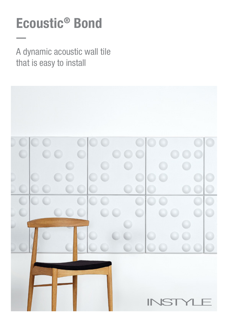# Ecoustic® Bond

A dynamic acoustic wall tile that is easy to install

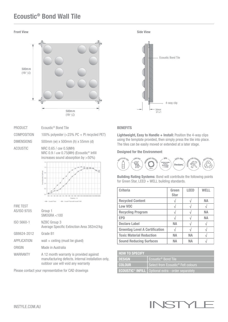# Ecoustic® Bond Wall Tile





| <b>PRODUCT</b>    | Ecoustic <sup>®</sup> Bond Tile                                                                                                                  |
|-------------------|--------------------------------------------------------------------------------------------------------------------------------------------------|
| COMPOSITION       | 100% polyester (<23% PC + PI recycled PET)                                                                                                       |
| <b>DIMENSIONS</b> | 500mm (w) x 500mm (h) x 55mm (d)                                                                                                                 |
| ACOUSTIC          | NRC 0.65 / aw 0.5(MH)<br>NRC 0.9 / $\alpha$ w 0.75(MH) (Ecoustic <sup>®</sup> Infill<br>increases sound absorption by >50%)<br>$1 + 1$<br>$\sim$ |

the bot are not are we

| <b>FIRE TEST</b>   |                                                                                                                                     |
|--------------------|-------------------------------------------------------------------------------------------------------------------------------------|
| AS/ISO 9705        | Group 1<br>SMOGRA < 100                                                                                                             |
| ISO 5660-1         | NZBC Group 3<br>Average Specific Extinction Area 382m2/kg                                                                           |
| GB8624-2012        | Grade B1                                                                                                                            |
| <b>APPLICATION</b> | wall $+$ ceiling (must be glued)                                                                                                    |
| ORIGIN             | Made in Australia                                                                                                                   |
| <b>WARRANTY</b>    | A 12 month warranty is provided against<br>manufacturing defects. Internal installation only,<br>outdoor use will void any warranty |

Please contact your representative for CAD drawings

### **BENEFITS**

Lightweight, Easy to Handle + Install: Position the 4-way clips using the template provided, then simply press the tile into place. The tiles can be easily moved or extended at a later stage.

#### Designed for the Environment



Building Rating Systems: Bond will contribute the following points for Green Star, LEED + WELL building standards.

| <b>Criteria</b>                       | Green<br><b>Star</b> | <b>LEED</b> | WFI I     |
|---------------------------------------|----------------------|-------------|-----------|
| <b>Recycled Content</b>               |                      |             | NА        |
| Low VOC                               |                      |             |           |
| <b>Recycling Program</b>              |                      |             | <b>NA</b> |
| <b>EPD</b>                            |                      |             | NА        |
| <b>Declare Label</b>                  | NА                   |             |           |
| <b>Greentag Level A Certification</b> |                      |             |           |
| <b>Toxic Material Reduction</b>       | NА                   | <b>NA</b>   |           |
| <b>Sound Reducing Surfaces</b>        | NΔ                   | NΔ          |           |

| <b>HOW TO SPECIFY</b> |                                                                        |  |
|-----------------------|------------------------------------------------------------------------|--|
| <b>DESIGN</b>         | Ecoustic <sup>®</sup> Bond Tile                                        |  |
| <b>COLOUR</b>         | Select from Ecoustic <sup>®</sup> Felt colours                         |  |
|                       | <b>ECOUSTIC<sup>®</sup> INFILL</b>   Optional extra - order separately |  |